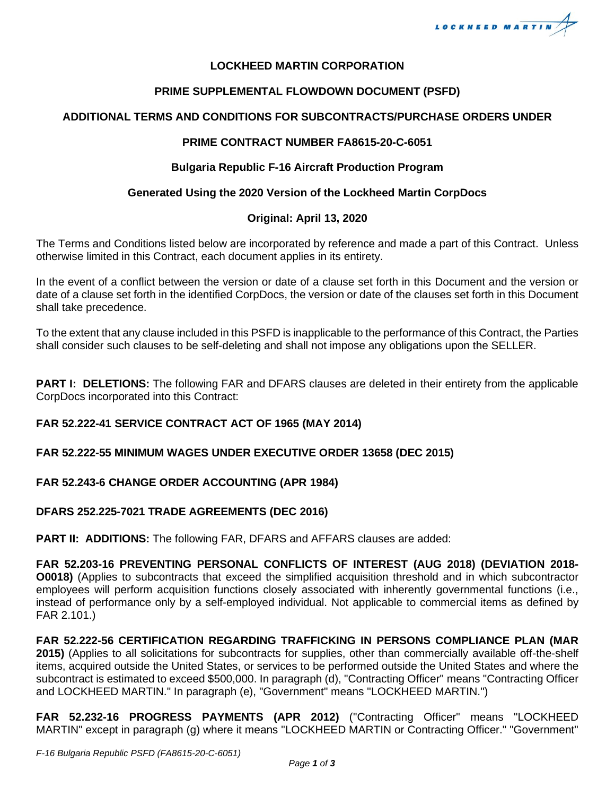

### **LOCKHEED MARTIN CORPORATION**

## **PRIME SUPPLEMENTAL FLOWDOWN DOCUMENT (PSFD)**

# **ADDITIONAL TERMS AND CONDITIONS FOR SUBCONTRACTS/PURCHASE ORDERS UNDER**

### **PRIME CONTRACT NUMBER FA8615-20-C-6051**

### **Bulgaria Republic F-16 Aircraft Production Program**

## **Generated Using the 2020 Version of the Lockheed Martin CorpDocs**

## **Original: April 13, 2020**

The Terms and Conditions listed below are incorporated by reference and made a part of this Contract. Unless otherwise limited in this Contract, each document applies in its entirety.

In the event of a conflict between the version or date of a clause set forth in this Document and the version or date of a clause set forth in the identified CorpDocs, the version or date of the clauses set forth in this Document shall take precedence.

To the extent that any clause included in this PSFD is inapplicable to the performance of this Contract, the Parties shall consider such clauses to be self-deleting and shall not impose any obligations upon the SELLER.

**PART I: DELETIONS:** The following FAR and DFARS clauses are deleted in their entirety from the applicable CorpDocs incorporated into this Contract:

# **FAR 52.222-41 SERVICE CONTRACT ACT OF 1965 (MAY 2014)**

### **FAR 52.222-55 MINIMUM WAGES UNDER EXECUTIVE ORDER 13658 (DEC 2015)**

### **FAR 52.243-6 CHANGE ORDER ACCOUNTING (APR 1984)**

### **DFARS 252.225-7021 TRADE AGREEMENTS (DEC 2016)**

**PART II: ADDITIONS:** The following FAR, DFARS and AFFARS clauses are added:

**FAR 52.203-16 PREVENTING PERSONAL CONFLICTS OF INTEREST (AUG 2018) (DEVIATION 2018- O0018)** (Applies to subcontracts that exceed the simplified acquisition threshold and in which subcontractor employees will perform acquisition functions closely associated with inherently governmental functions (i.e., instead of performance only by a self-employed individual. Not applicable to commercial items as defined by FAR 2.101.)

**FAR 52.222-56 CERTIFICATION REGARDING TRAFFICKING IN PERSONS COMPLIANCE PLAN (MAR 2015)** (Applies to all solicitations for subcontracts for supplies, other than commercially available off-the-shelf items, acquired outside the United States, or services to be performed outside the United States and where the subcontract is estimated to exceed \$500,000. In paragraph (d), "Contracting Officer" means "Contracting Officer and LOCKHEED MARTIN." In paragraph (e), "Government" means "LOCKHEED MARTIN.")

**FAR 52.232-16 PROGRESS PAYMENTS (APR 2012)** ("Contracting Officer" means "LOCKHEED MARTIN" except in paragraph (g) where it means "LOCKHEED MARTIN or Contracting Officer." "Government"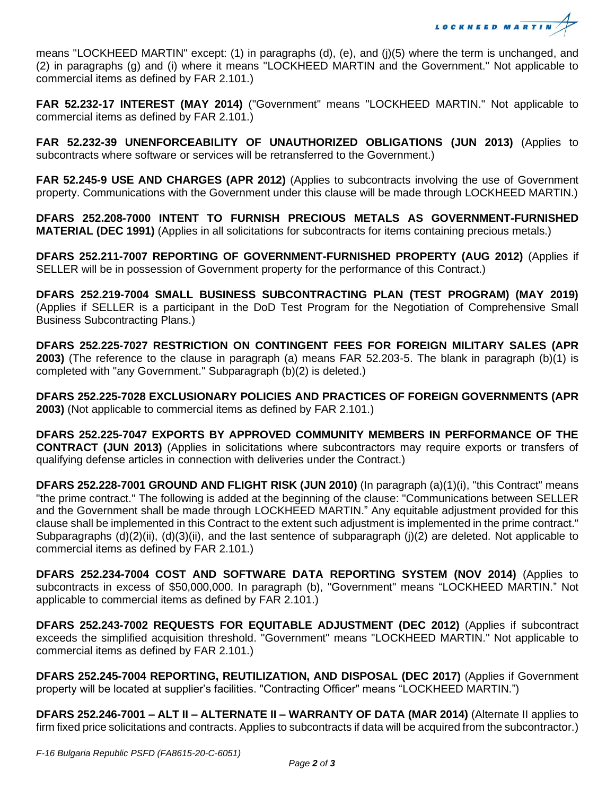

means "LOCKHEED MARTIN" except: (1) in paragraphs (d), (e), and (j)(5) where the term is unchanged, and (2) in paragraphs (g) and (i) where it means "LOCKHEED MARTIN and the Government." Not applicable to commercial items as defined by FAR 2.101.)

**FAR 52.232-17 INTEREST (MAY 2014)** ("Government" means "LOCKHEED MARTIN." Not applicable to commercial items as defined by FAR 2.101.)

**FAR 52.232-39 UNENFORCEABILITY OF UNAUTHORIZED OBLIGATIONS (JUN 2013)** (Applies to subcontracts where software or services will be retransferred to the Government.)

**FAR 52.245-9 USE AND CHARGES (APR 2012)** (Applies to subcontracts involving the use of Government property. Communications with the Government under this clause will be made through LOCKHEED MARTIN.)

**DFARS 252.208-7000 INTENT TO FURNISH PRECIOUS METALS AS GOVERNMENT-FURNISHED MATERIAL (DEC 1991)** (Applies in all solicitations for subcontracts for items containing precious metals.)

**DFARS 252.211-7007 REPORTING OF GOVERNMENT-FURNISHED PROPERTY (AUG 2012)** (Applies if SELLER will be in possession of Government property for the performance of this Contract.)

**DFARS 252.219-7004 SMALL BUSINESS SUBCONTRACTING PLAN (TEST PROGRAM) (MAY 2019)** (Applies if SELLER is a participant in the DoD Test Program for the Negotiation of Comprehensive Small Business Subcontracting Plans.)

**DFARS 252.225-7027 RESTRICTION ON CONTINGENT FEES FOR FOREIGN MILITARY SALES (APR 2003)** (The reference to the clause in paragraph (a) means FAR 52.203-5. The blank in paragraph (b)(1) is completed with "any Government." Subparagraph (b)(2) is deleted.)

**DFARS 252.225-7028 EXCLUSIONARY POLICIES AND PRACTICES OF FOREIGN GOVERNMENTS (APR 2003)** (Not applicable to commercial items as defined by FAR 2.101.)

**DFARS 252.225-7047 EXPORTS BY APPROVED COMMUNITY MEMBERS IN PERFORMANCE OF THE CONTRACT (JUN 2013)** (Applies in solicitations where subcontractors may require exports or transfers of qualifying defense articles in connection with deliveries under the Contract.)

**DFARS 252.228-7001 GROUND AND FLIGHT RISK (JUN 2010)** (In paragraph (a)(1)(i), "this Contract" means "the prime contract." The following is added at the beginning of the clause: "Communications between SELLER and the Government shall be made through LOCKHEED MARTIN." Any equitable adjustment provided for this clause shall be implemented in this Contract to the extent such adjustment is implemented in the prime contract." Subparagraphs (d)(2)(ii), (d)(3)(ii), and the last sentence of subparagraph (j)(2) are deleted. Not applicable to commercial items as defined by FAR 2.101.)

**DFARS 252.234-7004 COST AND SOFTWARE DATA REPORTING SYSTEM (NOV 2014)** (Applies to subcontracts in excess of \$50,000,000. In paragraph (b), "Government" means "LOCKHEED MARTIN." Not applicable to commercial items as defined by FAR 2.101.)

**DFARS 252.243-7002 REQUESTS FOR EQUITABLE ADJUSTMENT (DEC 2012)** (Applies if subcontract exceeds the simplified acquisition threshold. "Government" means "LOCKHEED MARTIN." Not applicable to commercial items as defined by FAR 2.101.)

**DFARS 252.245-7004 REPORTING, REUTILIZATION, AND DISPOSAL (DEC 2017)** (Applies if Government property will be located at supplier's facilities. "Contracting Officer" means "LOCKHEED MARTIN.")

**DFARS 252.246-7001 – ALT II – ALTERNATE II – WARRANTY OF DATA (MAR 2014)** (Alternate II applies to firm fixed price solicitations and contracts. Applies to subcontracts if data will be acquired from the subcontractor.)